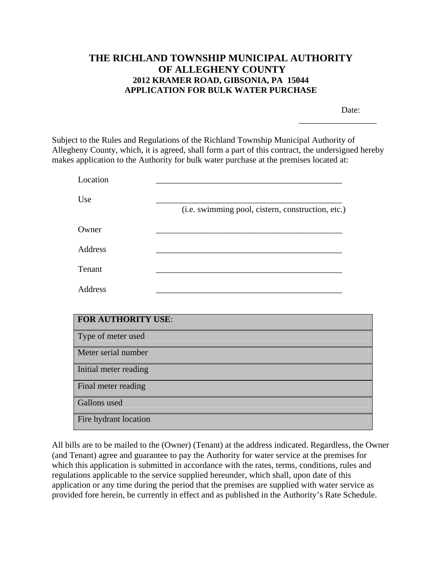## **THE RICHLAND TOWNSHIP MUNICIPAL AUTHORITY OF ALLEGHENY COUNTY 2012 KRAMER ROAD, GIBSONIA, PA 15044 APPLICATION FOR BULK WATER PURCHASE**

Date:

\_\_\_\_\_\_\_\_\_\_\_\_\_\_\_\_\_\_

Subject to the Rules and Regulations of the Richland Township Municipal Authority of Allegheny County, which, it is agreed, shall form a part of this contract, the undersigned hereby makes application to the Authority for bulk water purchase at the premises located at:

| Use     |                                                   |
|---------|---------------------------------------------------|
|         | (i.e. swimming pool, cistern, construction, etc.) |
| Owner   |                                                   |
| Address |                                                   |
| Tenant  |                                                   |
| Address |                                                   |

| <b>FOR AUTHORITY USE:</b> |
|---------------------------|
| Type of meter used        |
| Meter serial number       |
| Initial meter reading     |
| Final meter reading       |
| Gallons used              |
| Fire hydrant location     |

All bills are to be mailed to the (Owner) (Tenant) at the address indicated. Regardless, the Owner (and Tenant) agree and guarantee to pay the Authority for water service at the premises for which this application is submitted in accordance with the rates, terms, conditions, rules and regulations applicable to the service supplied hereunder, which shall, upon date of this application or any time during the period that the premises are supplied with water service as provided fore herein, be currently in effect and as published in the Authority's Rate Schedule.